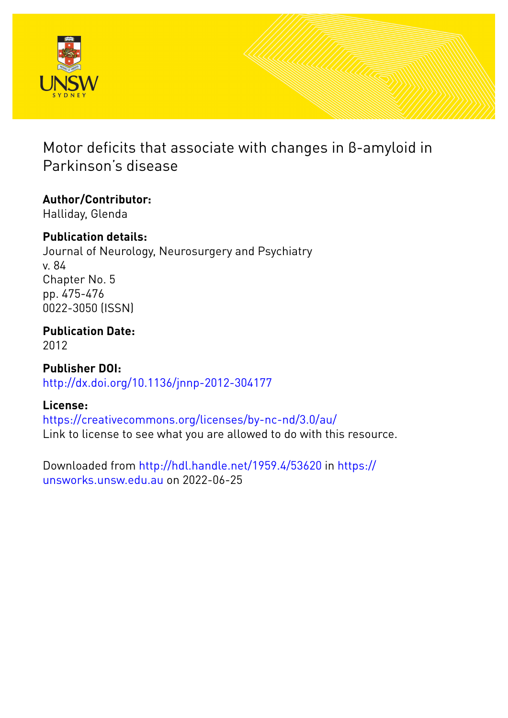

# Motor deficits that associate with changes in β-amyloid in Parkinson's disease

# **Author/Contributor:**

Halliday, Glenda

## **Publication details:**

Journal of Neurology, Neurosurgery and Psychiatry v. 84 Chapter No. 5 pp. 475-476 0022-3050 (ISSN)

## **Publication Date:** 2012

**Publisher DOI:** [http://dx.doi.org/10.1136/jnnp-2012-304177](http://dx.doi.org/http://dx.doi.org/10.1136/jnnp-2012-304177)

## **License:**

<https://creativecommons.org/licenses/by-nc-nd/3.0/au/> Link to license to see what you are allowed to do with this resource.

Downloaded from <http://hdl.handle.net/1959.4/53620> in [https://](https://unsworks.unsw.edu.au) [unsworks.unsw.edu.au](https://unsworks.unsw.edu.au) on 2022-06-25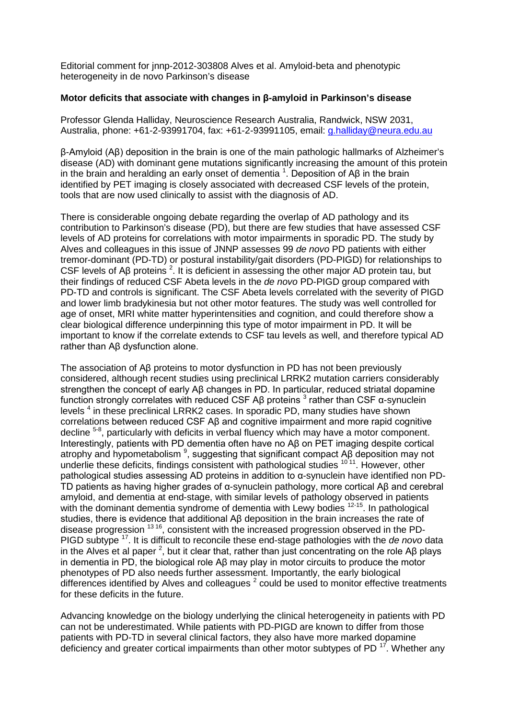Editorial comment for jnnp-2012-303808 Alves et al. Amyloid-beta and phenotypic heterogeneity in de novo Parkinson's disease

### **Motor deficits that associate with changes in β-amyloid in Parkinson's disease**

Professor Glenda Halliday, Neuroscience Research Australia, Randwick, NSW 2031, Australia, phone: +61-2-93991704, fax: +61-2-93991105, email: *g.halliday@neura.edu.au* 

β-Amyloid (Aβ) deposition in the brain is one of the main pathologic hallmarks of Alzheimer's disease (AD) with dominant gene mutations significantly increasing the amount of this protein in the brain and heralding an early onset of dementia  $^1$  $^1$ . Deposition of Aβ in the brain identified by PET imaging is closely associated with decreased CSF levels of the protein, tools that are now used clinically to assist with the diagnosis of AD.

There is considerable ongoing debate regarding the overlap of AD pathology and its contribution to Parkinson's disease (PD), but there are few studies that have assessed CSF levels of AD proteins for correlations with motor impairments in sporadic PD. The study by Alves and colleagues in this issue of JNNP assesses 99 *de novo* PD patients with either tremor-dominant (PD-TD) or postural instability/gait disorders (PD-PIGD) for relationships to CSF levels of Aβ proteins <sup>[2](#page-2-1)</sup>. It is deficient in assessing the other major AD protein tau, but their findings of reduced CSF Abeta levels in the *de novo* PD-PIGD group compared with PD-TD and controls is significant. The CSF Abeta levels correlated with the severity of PIGD and lower limb bradykinesia but not other motor features. The study was well controlled for age of onset, MRI white matter hyperintensities and cognition, and could therefore show a clear biological difference underpinning this type of motor impairment in PD. It will be important to know if the correlate extends to CSF tau levels as well, and therefore typical AD rather than Aβ dysfunction alone.

The association of Aβ proteins to motor dysfunction in PD has not been previously considered, although recent studies using preclinical LRRK2 mutation carriers considerably strengthen the concept of early Aβ changes in PD. In particular, reduced striatal dopamine function strongly correlates with reduced CSF Aβ proteins  $3$  rather than CSF α-synuclein levels [4](#page-2-3) in these preclinical LRRK2 cases. In sporadic PD, many studies have shown correlations between reduced CSF Aβ and cognitive impairment and more rapid cognitive decline <sup>[5-8](#page-2-4)</sup>, particularly with deficits in verbal fluency which may have a motor component. Interestingly, patients with PD dementia often have no Aβ on PET imaging despite cortical atrophy and hypometabolism  $^9$  $^9$ , suggesting that significant compact Aβ deposition may not underlie these deficits, findings consistent with pathological studies <sup>[10](#page-2-6)11</sup>. However, other pathological studies assessing AD proteins in addition to α-synuclein have identified non PD-TD patients as having higher grades of α-synuclein pathology, more cortical Aβ and cerebral amyloid, and dementia at end-stage, with similar levels of pathology observed in patients with the dominant dementia syndrome of dementia with Lewy bodies <sup>12-15</sup>. In pathological studies, there is evidence that additional Aβ deposition in the brain increases the rate of disease progression  $1316$  $1316$ , consistent with the increased progression observed in the PD-PIGD subtype [17.](#page-2-9) It is difficult to reconcile these end-stage pathologies with the *de novo* data in the Alves et al paper <sup>[2](#page-2-1)</sup>, but it clear that, rather than just concentrating on the role Aβ plays in dementia in PD, the biological role Aβ may play in motor circuits to produce the motor phenotypes of PD also needs further assessment. Importantly, the early biological differencesidentified by Alves and colleagues<sup>2</sup> could be used to monitor effective treatments for these deficits in the future.

Advancing knowledge on the biology underlying the clinical heterogeneity in patients with PD can not be underestimated. While patients with PD-PIGD are known to differ from those patients with PD-TD in several clinical factors, they also have more marked dopamine deficiency and greater cortical impairments than other motor subtypes of PD  $^{17}$ . Whether any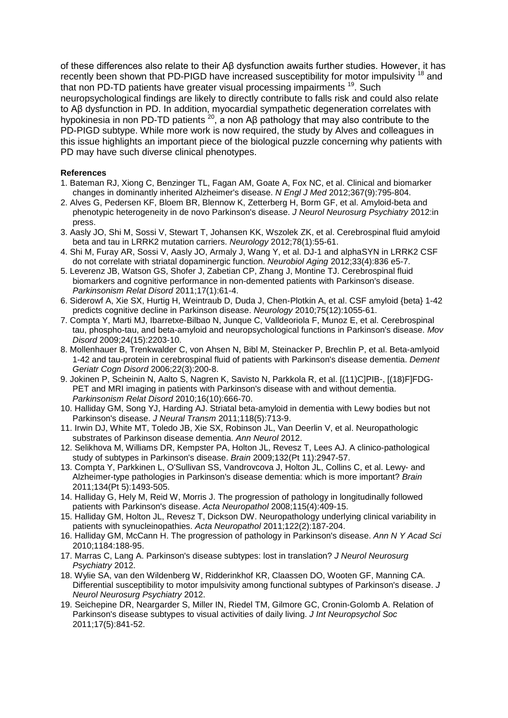of these differences also relate to their Aβ dysfunction awaits further studies. However, it has recently been shown that PD-PIGD have increased susceptibility for motor impulsivity <sup>[18](#page-2-10)</sup> and that non PD-TD patients have greater visual processing impairments<sup>19</sup>. Such neuropsychological findings are likely to directly contribute to falls risk and could also relate to Aβ dysfunction in PD. In addition, myocardial sympathetic degeneration correlates with hypokinesia in non PD-TD patients [20](#page-3-0), a non Aβ pathology that may also contribute to the PD-PIGD subtype. While more work is now required, the study by Alves and colleagues in this issue highlights an important piece of the biological puzzle concerning why patients with PD may have such diverse clinical phenotypes.

#### **References**

- <span id="page-2-0"></span>1. Bateman RJ, Xiong C, Benzinger TL, Fagan AM, Goate A, Fox NC, et al. Clinical and biomarker changes in dominantly inherited Alzheimer's disease. *N Engl J Med* 2012;367(9):795-804.
- <span id="page-2-1"></span>2. Alves G, Pedersen KF, Bloem BR, Blennow K, Zetterberg H, Borm GF, et al. Amyloid-beta and phenotypic heterogeneity in de novo Parkinson's disease. *J Neurol Neurosurg Psychiatry* 2012:in press.
- <span id="page-2-2"></span>3. Aasly JO, Shi M, Sossi V, Stewart T, Johansen KK, Wszolek ZK, et al. Cerebrospinal fluid amyloid beta and tau in LRRK2 mutation carriers. *Neurology* 2012;78(1):55-61.
- <span id="page-2-3"></span>4. Shi M, Furay AR, Sossi V, Aasly JO, Armaly J, Wang Y, et al. DJ-1 and alphaSYN in LRRK2 CSF do not correlate with striatal dopaminergic function. *Neurobiol Aging* 2012;33(4):836 e5-7.
- <span id="page-2-4"></span>5. Leverenz JB, Watson GS, Shofer J, Zabetian CP, Zhang J, Montine TJ. Cerebrospinal fluid biomarkers and cognitive performance in non-demented patients with Parkinson's disease. *Parkinsonism Relat Disord* 2011;17(1):61-4.
- 6. Siderowf A, Xie SX, Hurtig H, Weintraub D, Duda J, Chen-Plotkin A, et al. CSF amyloid {beta} 1-42 predicts cognitive decline in Parkinson disease. *Neurology* 2010;75(12):1055-61.
- 7. Compta Y, Marti MJ, Ibarretxe-Bilbao N, Junque C, Valldeoriola F, Munoz E, et al. Cerebrospinal tau, phospho-tau, and beta-amyloid and neuropsychological functions in Parkinson's disease. *Mov Disord* 2009;24(15):2203-10.
- 8. Mollenhauer B, Trenkwalder C, von Ahsen N, Bibl M, Steinacker P, Brechlin P, et al. Beta-amlyoid 1-42 and tau-protein in cerebrospinal fluid of patients with Parkinson's disease dementia. *Dement Geriatr Cogn Disord* 2006;22(3):200-8.
- <span id="page-2-5"></span>9. Jokinen P, Scheinin N, Aalto S, Nagren K, Savisto N, Parkkola R, et al. [(11)C]PIB-, [(18)F]FDG-PET and MRI imaging in patients with Parkinson's disease with and without dementia. *Parkinsonism Relat Disord* 2010;16(10):666-70.
- <span id="page-2-6"></span>10. Halliday GM, Song YJ, Harding AJ. Striatal beta-amyloid in dementia with Lewy bodies but not Parkinson's disease. *J Neural Transm* 2011;118(5):713-9.
- 11. Irwin DJ, White MT, Toledo JB, Xie SX, Robinson JL, Van Deerlin V, et al. Neuropathologic substrates of Parkinson disease dementia. *Ann Neurol* 2012.
- <span id="page-2-7"></span>12. Selikhova M, Williams DR, Kempster PA, Holton JL, Revesz T, Lees AJ. A clinico-pathological study of subtypes in Parkinson's disease. *Brain* 2009;132(Pt 11):2947-57.
- <span id="page-2-8"></span>13. Compta Y, Parkkinen L, O'Sullivan SS, Vandrovcova J, Holton JL, Collins C, et al. Lewy- and Alzheimer-type pathologies in Parkinson's disease dementia: which is more important? *Brain* 2011;134(Pt 5):1493-505.
- 14. Halliday G, Hely M, Reid W, Morris J. The progression of pathology in longitudinally followed patients with Parkinson's disease. *Acta Neuropathol* 2008;115(4):409-15.
- 15. Halliday GM, Holton JL, Revesz T, Dickson DW. Neuropathology underlying clinical variability in patients with synucleinopathies. *Acta Neuropathol* 2011;122(2):187-204.
- 16. Halliday GM, McCann H. The progression of pathology in Parkinson's disease. *Ann N Y Acad Sci* 2010;1184:188-95.
- <span id="page-2-9"></span>17. Marras C, Lang A. Parkinson's disease subtypes: lost in translation? *J Neurol Neurosurg Psychiatry* 2012.
- <span id="page-2-10"></span>18. Wylie SA, van den Wildenberg W, Ridderinkhof KR, Claassen DO, Wooten GF, Manning CA. Differential susceptibility to motor impulsivity among functional subtypes of Parkinson's disease. *J Neurol Neurosurg Psychiatry* 2012.
- <span id="page-2-11"></span>19. Seichepine DR, Neargarder S, Miller IN, Riedel TM, Gilmore GC, Cronin-Golomb A. Relation of Parkinson's disease subtypes to visual activities of daily living. *J Int Neuropsychol Soc* 2011;17(5):841-52.